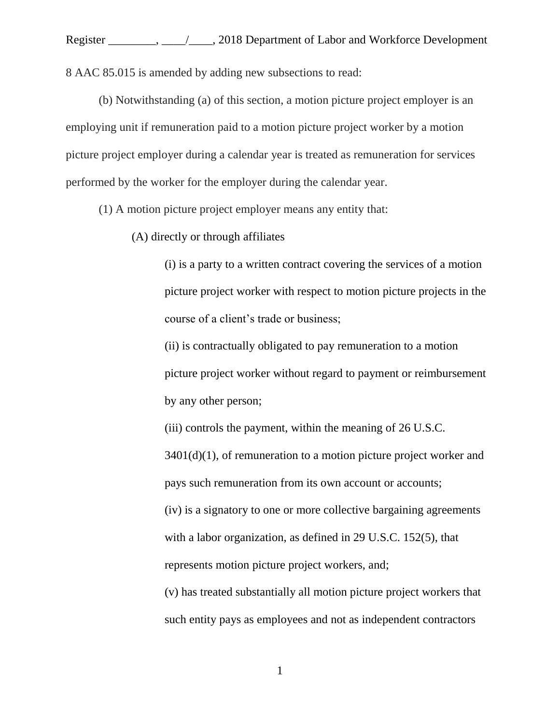Register \_\_\_\_\_\_\_\_, \_\_\_\_/\_\_\_\_, 2018 Department of Labor and Workforce Development 8 AAC 85.015 is amended by adding new subsections to read:

(b) Notwithstanding (a) of this section, a motion picture project employer is an employing unit if remuneration paid to a motion picture project worker by a motion picture project employer during a calendar year is treated as remuneration for services performed by the worker for the employer during the calendar year.

(1) A motion picture project employer means any entity that:

(A) directly or through affiliates

(i) is a party to a written contract covering the services of a motion picture project worker with respect to motion picture projects in the course of a client's trade or business;

(ii) is contractually obligated to pay remuneration to a motion picture project worker without regard to payment or reimbursement by any other person;

(iii) controls the payment, within the meaning of 26 U.S.C.

 $3401(d)(1)$ , of remuneration to a motion picture project worker and pays such remuneration from its own account or accounts;

(iv) is a signatory to one or more collective bargaining agreements with a labor organization, as defined in 29 U.S.C. 152(5), that represents motion picture project workers, and;

(v) has treated substantially all motion picture project workers that such entity pays as employees and not as independent contractors

1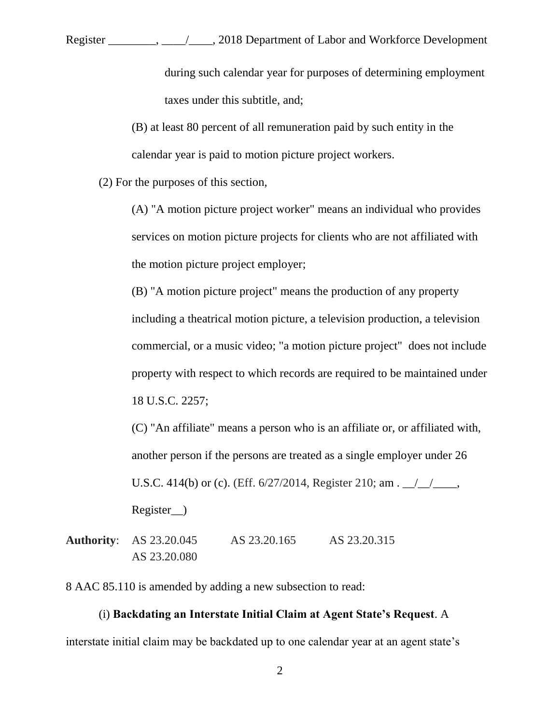Register \_\_\_\_\_\_\_\_, \_\_\_\_/\_\_\_\_, 2018 Department of Labor and Workforce Development

during such calendar year for purposes of determining employment taxes under this subtitle, and;

(B) at least 80 percent of all remuneration paid by such entity in the calendar year is paid to motion picture project workers.

(2) For the purposes of this section,

(A) "A motion picture project worker" means an individual who provides services on motion picture projects for clients who are not affiliated with the motion picture project employer;

(B) "A motion picture project" means the production of any property including a theatrical motion picture, a television production, a television commercial, or a music video; "a motion picture project" does not include property with respect to which records are required to be maintained under 18 U.S.C. 2257;

(C) "An affiliate" means a person who is an affiliate or, or affiliated with, another person if the persons are treated as a single employer under 26 U.S.C. 414(b) or (c). (Eff.  $6/27/2014$ , Register 210; am .  $\angle$ Register\_\_)

**Authority**: AS 23.20.045 AS 23.20.165 AS 23.20.315 AS 23.20.080

8 AAC 85.110 is amended by adding a new subsection to read:

## (i) **Backdating an Interstate Initial Claim at Agent State's Request**. A

interstate initial claim may be backdated up to one calendar year at an agent state's